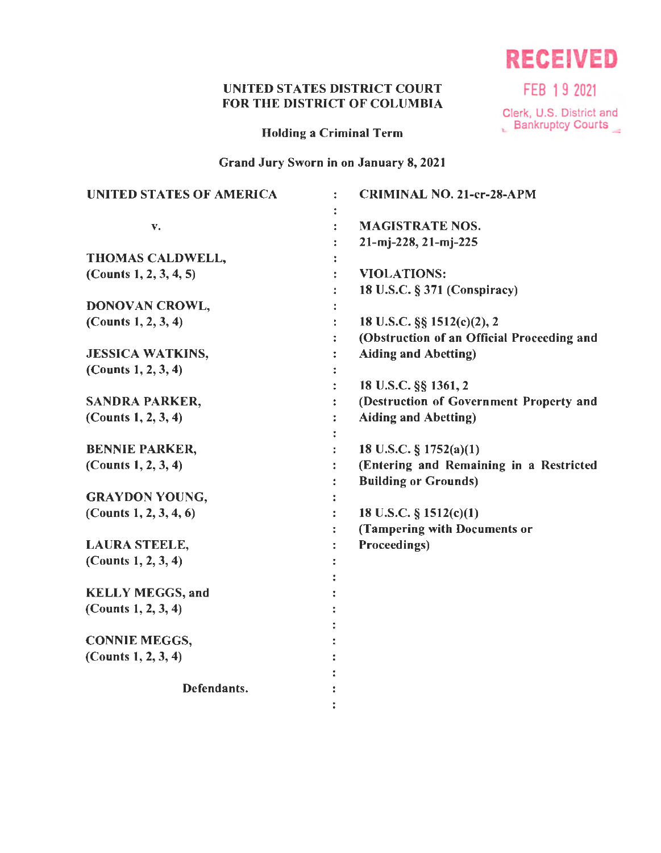# UNITED STATES DISTRICT COURT FEB 19 2021 FOR THE DISTRICT OF COLUMBIA

Holding a Criminal Term

Grand Jury Sworn in on January 8, 2021

| <b>UNITED STATES OF AMERICA</b> | ÷ | <b>CRIMINAL NO. 21-cr-28-APM</b>           |
|---------------------------------|---|--------------------------------------------|
|                                 |   | <b>MAGISTRATE NOS.</b>                     |
| v.                              |   |                                            |
|                                 |   | 21-mj-228, 21-mj-225                       |
| THOMAS CALDWELL,                |   |                                            |
| (Counts $1, 2, 3, 4, 5$ )       |   | <b>VIOLATIONS:</b>                         |
|                                 |   | 18 U.S.C. § 371 (Conspiracy)               |
| DONOVAN CROWL,                  |   |                                            |
| (Counts $1, 2, 3, 4$ )          |   | 18 U.S.C. §§ 1512(c)(2), 2                 |
|                                 |   | (Obstruction of an Official Proceeding and |
| <b>JESSICA WATKINS,</b>         |   | <b>Aiding and Abetting)</b>                |
| (Counts $1, 2, 3, 4$ )          |   |                                            |
|                                 |   | 18 U.S.C. §§ 1361, 2                       |
| <b>SANDRA PARKER,</b>           |   | (Destruction of Government Property and    |
| (Counts 1, 2, 3, 4)             | ÷ | <b>Aiding and Abetting)</b>                |
|                                 |   |                                            |
| <b>BENNIE PARKER,</b>           |   | 18 U.S.C. § 1752(a)(1)                     |
| (Counts $1, 2, 3, 4$ )          |   | (Entering and Remaining in a Restricted    |
|                                 |   | <b>Building or Grounds)</b>                |
| <b>GRAYDON YOUNG,</b>           |   |                                            |
| (Counts $1, 2, 3, 4, 6$ )       |   | 18 U.S.C. $\S$ 1512(c)(1)                  |
|                                 |   | (Tampering with Documents or               |
| <b>LAURA STEELE,</b>            |   | Proceedings)                               |
| (Counts $1, 2, 3, 4$ )          |   |                                            |
|                                 |   |                                            |
| <b>KELLY MEGGS, and</b>         |   |                                            |
| (Counts $1, 2, 3, 4$ )          |   |                                            |
|                                 |   |                                            |
| <b>CONNIE MEGGS,</b>            |   |                                            |
| (Counts $1, 2, 3, 4$ )          |   |                                            |
|                                 |   |                                            |
| Defendants.                     |   |                                            |
|                                 |   |                                            |
|                                 |   |                                            |

**RECEIVED** 

Clerk, U.S. District and<br>
L Bankruptcy Courts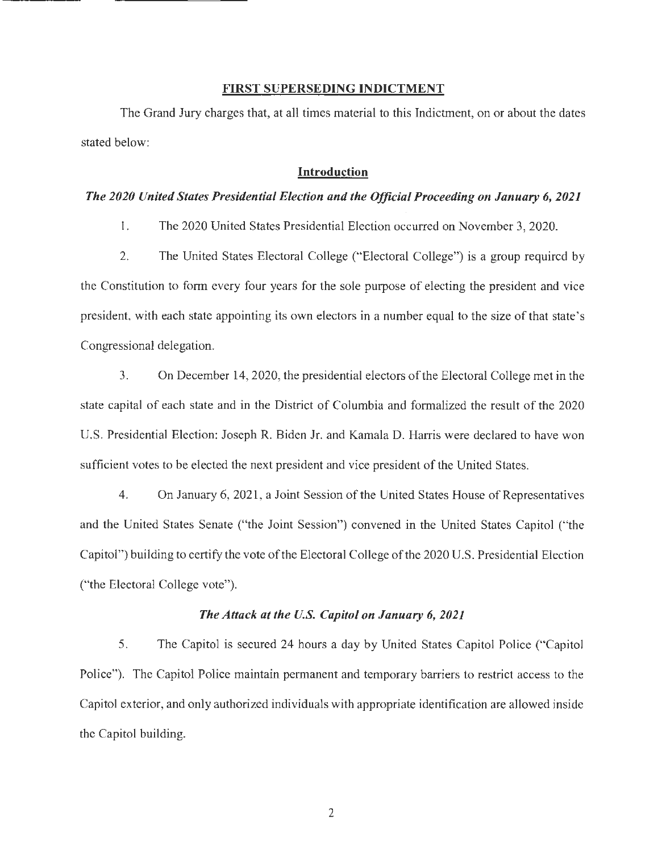#### **FIRST SUPERSEDING INDICTMENT**

The Grand Jury charges that, at all times material to this Indictment, on or about the dates stated below:

## **Introduction**

#### *The 2020 United States Presidential Election and the Official Proceeding on January 6, 2021*

l. The 2020 United States Presidential Election occurred on November 3, 2020.

2. The United States Electoral College ("Electoral College") is a group required by the Constitution to form every four years for the sole purpose of electing the president and vice president, with each state appointing its own electors in a number equal to the size ofthat state's Congressional delegation.

3. On December 14, 2020, the presidential electors of the Electoral College met in the state capital of each state and in the District of Columbia and formalized the result of the 2020 U.S. Presidential Election: Joseph R. Biden Jr. and Kamala D. Harris were declared to have won sufficient votes to be elected the next president and vice president of the United States.

4. On January 6, 2021, a Joint Session of the United States House of Representatives and the United States Senate ("the Joint Session") convened in the United States Capitol ("the Capitol") building to certify the vote of the Electoral College of the 2020 U.S. Presidential Election ("the Electoral College vote").

#### *The Attack at the U.S. Capitol on January 6, 2021*

5. The Capitol is secured 24 hours a day by United States Capitol Police ("Capitol Police"). The Capitol Police maintain permanent and temporary barriers to restrict access to the Capitol exterior, and only authorized individuals with appropriate identification are allowed inside the Capitol building.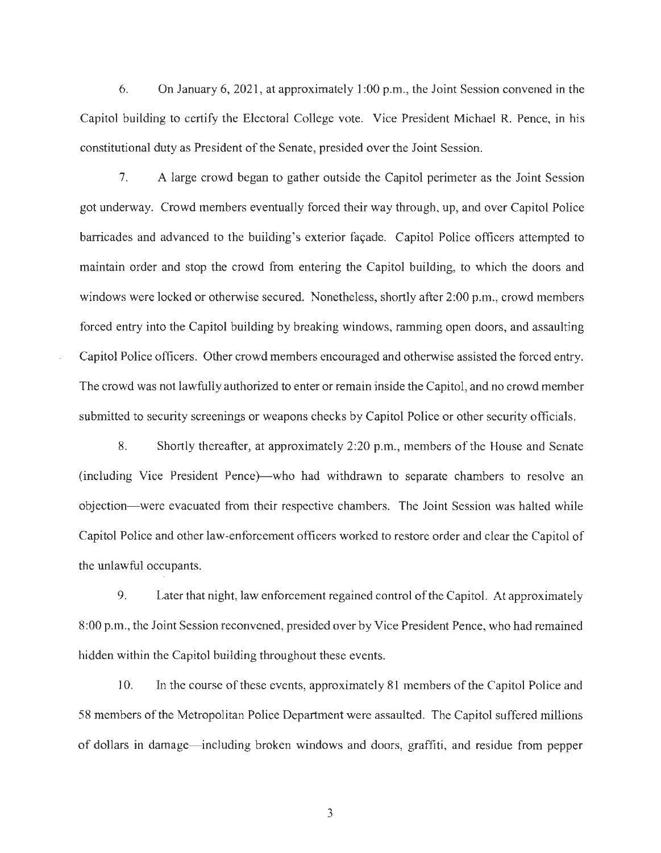6. On January 6, 2021, at approximately 1:00 p.m., the Joint Session convened in the Capitol building to certify the Electoral College vote. Vice President Michael R. Pence, in his constitutional duty as President of the Senate, presided over the Joint Session.

7. A large crowd began to gather outside the Capitol perimeter as the Joint Session got underway. Crowd members eventually forced their way through, up, and over Capitol Police barricades and advanced to the building's exterior fa9ade. Capitol Police officers attempted to maintain order and stop the crowd from entering the Capitol building, to which the doors and windows were locked or otherwise secured. Nonetheless, shortly after 2:00 p.m., crowd members forced entry into the Capitol building by breaking windows, ramming open doors, and assaulting Capitol Police officers. Other crowd members encouraged and otherwise assisted the forced entry. The crowd was not lawfully authorized to enter or remain inside the Capitol, and no crowd member submitted to security screenings or weapons checks by Capitol Police or other security officials.

8. Shortly thereafter, at approximately 2:20 p.m., members of the House and Senate (including Vice President Pence)—who had withdrawn to separate chambers to resolve an objection- were evacuated from their respective chambers. The Joint Session was halted while Capitol Police and other law-enforcement officers worked to restore order and clear the Capitol of the unlawful occupants.

9. Later that night, law enforcement regained control of the Capitol. At approximately 8:00 p.m., the Joint Session reconvened, presided over by Vice President Pence, who had remained hidden within the Capitol building throughout these events.

10. In the course of these events, approximately 81 members of the Capitol Police and 58 members of the Metropolitan Police Department were assaulted. The Capitol suffered millions of dollars in damage- including broken windows and doors, graffiti, and residue from pepper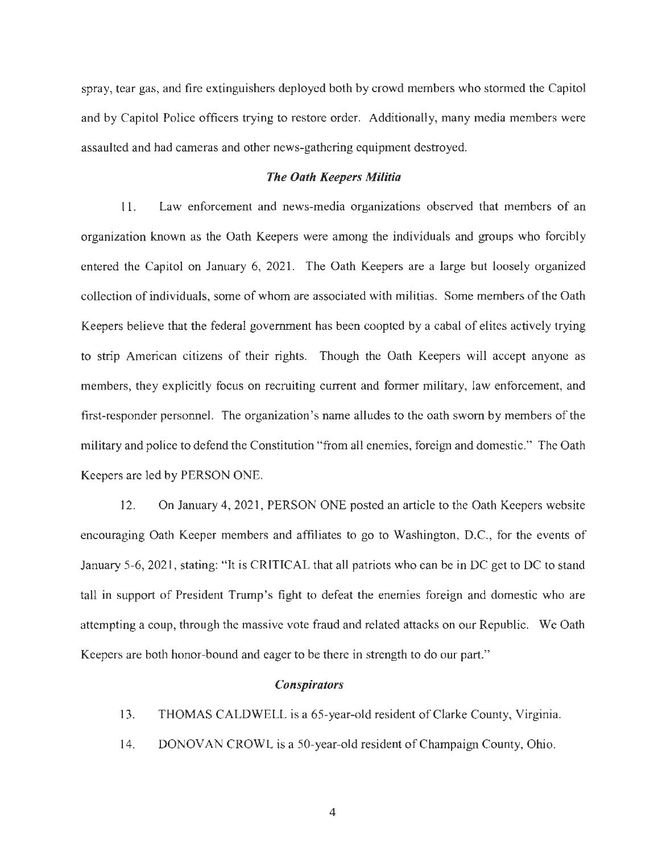spray, tear gas, and fire extinguishers deployed both by crowd members who stormed the Capitol and by Capitol Police officers trying to restore order. Additionally, many media members were assaulted and had cameras and other news-gathering equipment destroyed.

#### *The Oath Keepers Militia*

11. Law enforcement and news-media organizations observed that members of an organization known as the Oath Keepers were among the individuals and groups who forcibly entered the Capitol on January 6, 2021. The Oath Keepers are a large but loosely organized collection ofindividuals, some of whom are associated with militias. Some members of the Oath Keepers believe that the federal government has been coopted by a cabal of elites actively trying to strip American citizens of their rights. Though the Oath Keepers will accept anyone as members, they explicitly focus on recruiting current and former military, law enforcement, and first-responder personnel. The organization's name alludes to the oath sworn by members of the military and police to defend the Constitution "from all enemies, foreign and domestic." The Oath Keepers are led by PERSON ONE.

12. On January 4, 2021, PERSON ONE posted an article to the Oath Keepers website encouraging Oath Keeper members and affiliates to go to Washington, D.C., for the events of January 5-6, 2021, stating: "It is CRJTICAL that all patriots who can be in DC get to DC to stand tall in support of President Trump's fight to defeat the enemies foreign and domestic who are attempting a coup, through the massive vote fraud and related attacks on our Republic. We Oath Keepers are both honor-bound and eager to be there in strength to do our part."

#### *Conspirators*

- 13. THOMAS CALDWELL is a 65-year-old resident of Clarke County, Virginia.
- 14. DONOVAN CROWL is a 50-year-old resident of Champaign County, Ohio.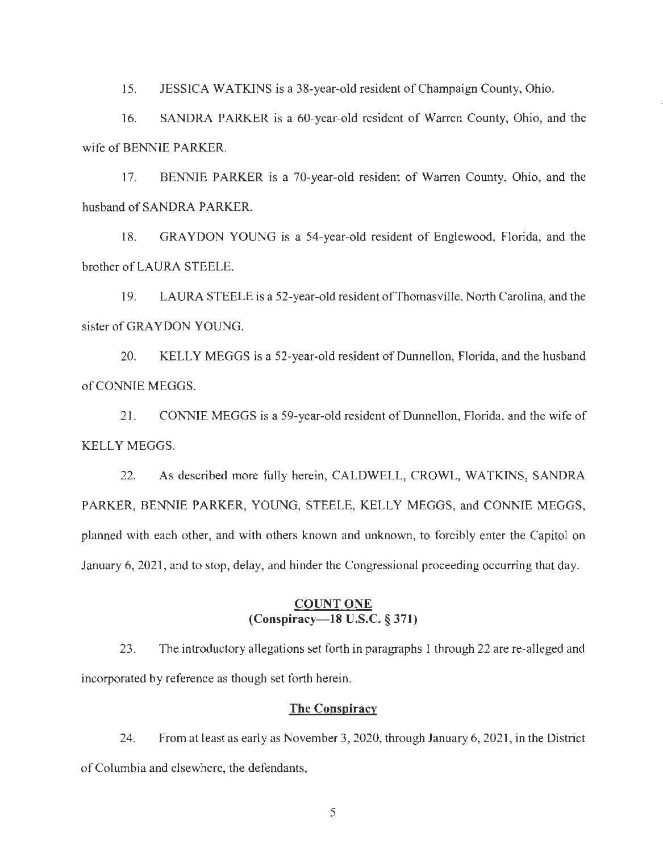15. JESSICA WATKINS is a 38-year-old resident of Champaign County, Ohio.

16. SANDRA PARKER is a 60-year-old resident of Warren County, Ohio, and the wife of BENNIE PARKER.

17. BENNIE PARKER is a 70-year-old resident of Warren County, Ohio, and the husband of SANDRA PARKER.

18. GRAYDON YOUNG is a 54-year-old resident of Englewood, Florida, and the brother of LAURA STEELE.

19. LAURA STEELE is a 52-year-old resident of Thomasville, North Carolina, and the sister of GRAYDON YOUNG.

20. KELLY MEGGS is a 52-year-old resident of Dunnellon, Florida, and the husband of CONNIE MEGGS.

21. CONNIE MEGGS is a 59-year-old resident of Dunnellon, Florida, and the wife of KELLY MEGGS.

22. As described more fully herein, CALDWELL, CROWL, WATKINS, SANDRA PARKER, BENNIE PARKER, YOUNG, STEELE, KELLY MEGGS, and CONNIE MEGGS, planned with each other, and with others known and unknown, to forcibly enter the Capitol on January 6, 2021, and to stop, delay, and hinder the Congressional proceeding occurring that day.

## **COUNT ONE (Conspiracy-18 U.S.C. § 371)**

23. The introductory allegations set forth in paragraphs **l** through 22 are re-alleged and incorporated by reference as though set forth herein.

#### **The Conspiracy**

24. From at least as early as November 3, 2020, through January 6, 2021, in the District of Columbia and elsewhere, the defendants,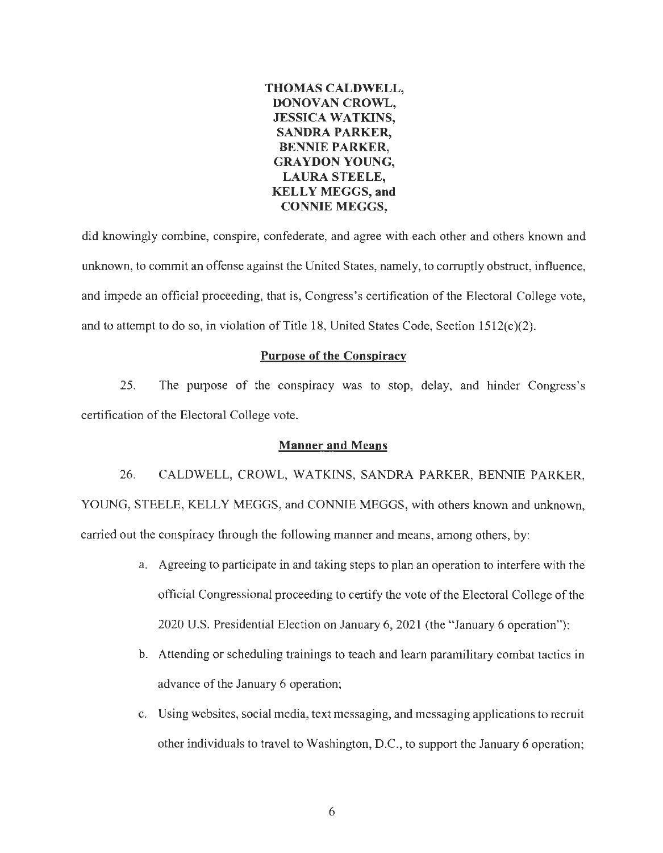

did knowingly combine, conspire, confederate, and agree with each other and others known and unknown, to commit an offense against the United States, namely, to corruptly obstruct, influence, and impede an official proceeding, that is, Congress's certification of the Electoral College vote, and to attempt to do so, in violation of Title 18, United States Code, Section  $1512(c)(2)$ .

#### **Purpose of the Conspiracy**

25. The purpose of the conspiracy was to stop, delay, and hinder Congress's certification of the Electoral College vote.

#### **Manner and Means**

26. CALDWELL, CROWL, WATKINS, SANDRA PARKER, BENNIE PARKER, YOUNG, STEELE, KELLY MEGGS, and CONNIE MEGGS, with others known and unknown, carried out the conspiracy through the following manner and means, among others, by:

- a. Agreeing to participate in and taking steps to plan an operation to interfere with the official Congressional proceeding to certify the vote ofthe Electoral College ofthe 2020 U.S. Presidential Election on January 6, 2021 (the "January 6 operation");
- b. Attending or scheduling trainings to teach and learn paramilitary combat tactics in advance of the January 6 operation;
- c. Using websites, social media, text messaging, and messaging applications to recruit other individuals to travel to Washington, D.C., to support the January 6 operation;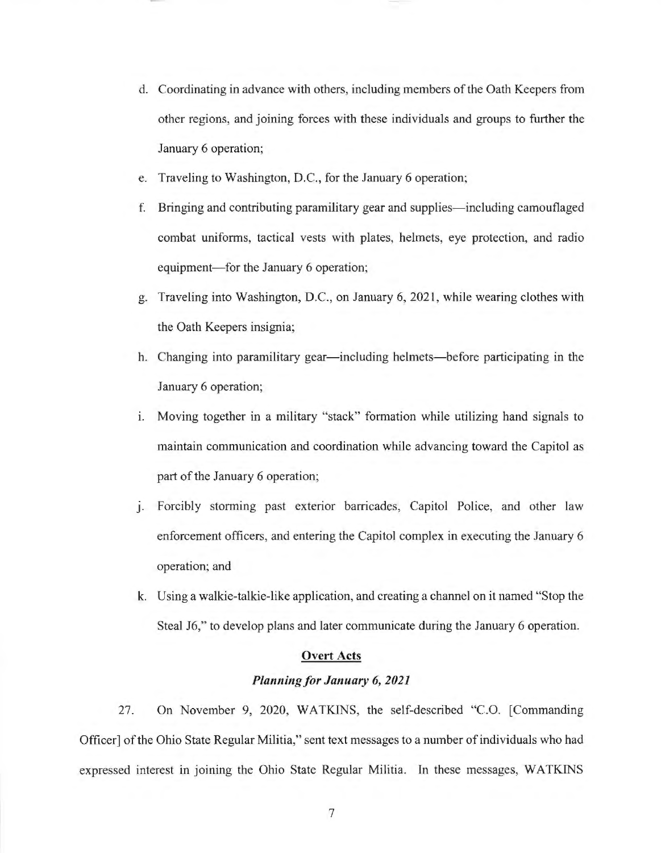- d. Coordinating in advance with others, including members ofthe Oath Keepers from other regions, and joining forces with these individuals and groups to further the January 6 operation;
- e. Traveling to Washington, D.C., for the January 6 operation;
- f. Bringing and contributing paramilitary gear and supplies—including camouflaged combat uniforms, tactical vests with plates, helmets, eye protection, and radio equipment- for the January 6 operation;
- g. Traveling into Washington, D.C., on January 6, 2021, while wearing clothes with the Oath Keepers insignia;
- h. Changing into paramilitary gear—including helmets—before participating in the January 6 operation;
- 1. Moving together in a military "stack" formation while utilizing hand signals to maintain communication and coordination while advancing toward the Capitol as part of the January 6 operation;
- J. Forcibly storming past exterior barricades, Capitol Police, and other law enforcement officers, and entering the Capitol complex in executing the January 6 operation; and
- k. Using a walkie-talkie-like application, and creating a channel on it named "Stop the Steal 16," to develop plans and later communicate during the January 6 operation.

#### **Overt Acts**

### *Planning for January 6, 2021*

27. On November 9, 2020, WATKINS, the self-described "C.O. [Commanding Officer] of the Ohio State Regular Militia," sent text messages to a number of individuals who had expressed interest in joining the Ohio State Regular Militia. In these messages, WATKINS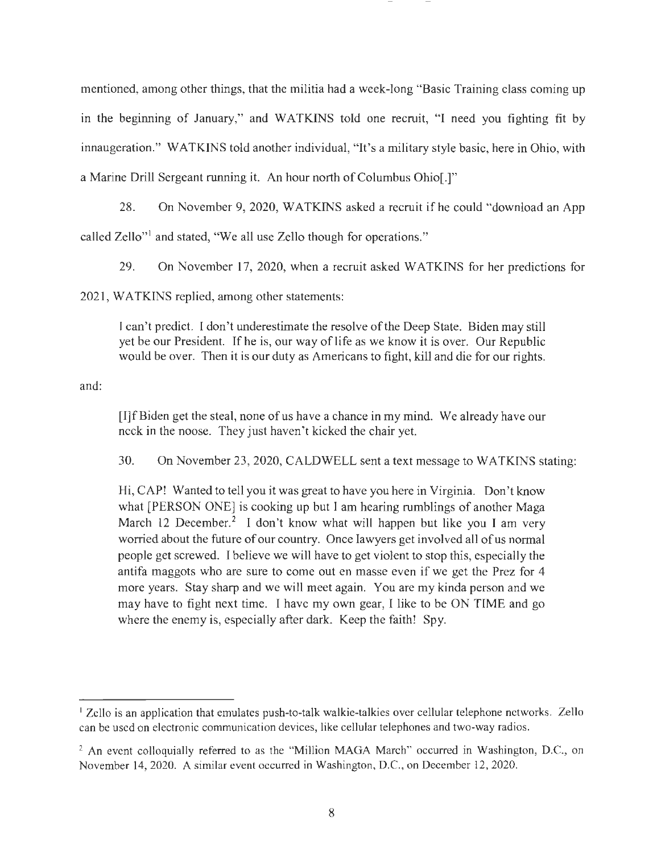mentioned, among other things, that the militia had a week-long "Basic Training class coming up in the beginning of January," and WATKINS told one recruit, "I need you fighting fit by innaugeration." WATKINS told another individual, "It's a military style basic, here in Ohio, with a Marine Drill Sergeant running it. An hour north of Columbus Ohio[.]"

28. On November 9, 2020, WATKINS asked a recruit if he could "download an App called Zello"<sup>1</sup> and stated, "We all use Zello though for operations."

29. On November 17, 2020, when a recruit asked WATKINS for her predictions for

2021, WATKINS replied, among other statements:

J can't predict. I don't underestimate the resolve ofthe Deep State. Biden may still yet be our President. If he is, our way oflife as we know it is over. Our Republic would be over. Then it is our duty as Americans to fight, kill and die for our rights.

and:

[I]fBiden get the steal, none of us have a chance in my mind. We already have our neck in the noose. They just haven't kicked the chair yet.

30. On November 23, 2020, CALDWELL sent a text message to WATKINS stating:

Hi, CAP! Wanted to tell you it was great to have you here in Virginia. Don't know what [PERSON ONE] is cooking up but I am hearing rumblings of another Maga March 12 December.<sup>2</sup> I don't know what will happen but like you I am very worried about the future of our country. Once lawyers get involved all of us normal people get screwed. I believe we will have to get violent to stop this, especially the antifa maggots who are sure to come out en masse even if we get the Prez for 4 more years. Stay sharp and we will meet again. You are my kinda person and we may have to fight next time. I have my own gear, I like to be ON TIME and go where the enemy is, especially after dark. Keep the faith! Spy.

<sup>&</sup>lt;sup>1</sup> Zello is an application that emulates push-to-talk walkie-talkies over cellular telephone networks. Zello can be used on electronic communication devices, like cellular telephones and two-way radios.

<sup>&</sup>lt;sup>2</sup> An event colloquially referred to as the "Million MAGA March" occurred in Washington, D.C., on November 14, 2020. A similar event occurred in Washington, D.C., on December 12, 2020.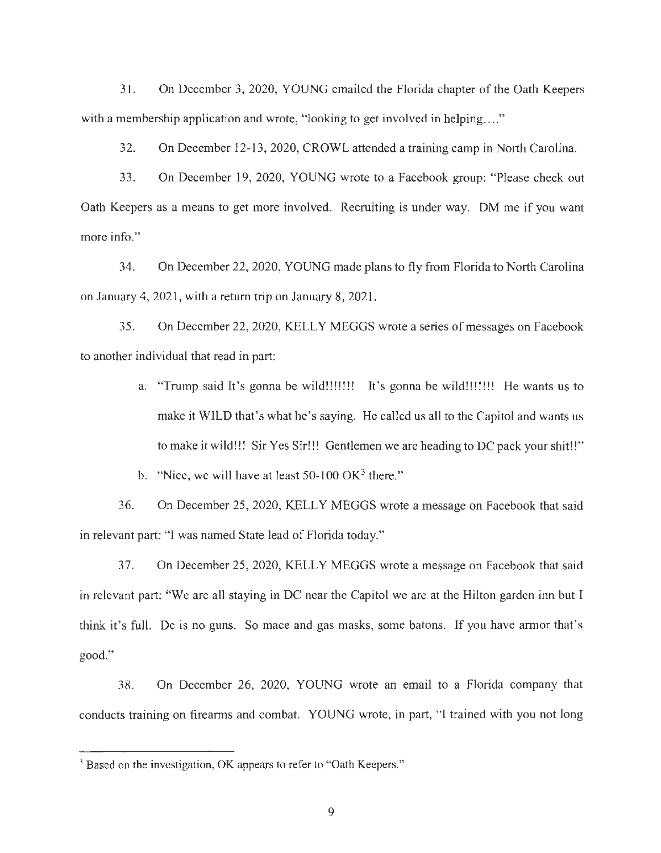31. On December 3, 2020, YOUNG emailed the Florida chapter of the Oath Keepers with a membership application and wrote, "looking to get involved in helping...."

32. On December 12-13, 2020, CROWL attended a training camp in North Carolina.

33. On December 19, 2020, YOUNG wrote to a Facebook group: "Please check out Oath Keepers as a means to get more involved. Recruiting is under way. DM me if you want more info."

34. On December 22, 2020, YOUNG made plans to fly from Florida to North Carolina on January 4, 2021 , with a return trip on January 8, 2021.

35. On December 22, 2020, KELLY MEGGS wrote a series of messages on Facebook to another individual that read in part:

> a. "Trump said It's gonna be wild!!!!!!! It's gonna be wild!!!!!!! He wants us to make it WILD that's what he's saying. He called us all to the Capitol and wants us to make it wild!!! Sir Yes Sir!!! Gentlemen we are heading to DC pack your shit!!"

b. "Nice, we will have at least  $50-100 \text{ OK}^3$  there."

36. On December 25, 2020, KELLY MEGGS wrote a message on Facebook that said in relevant part: "I was named State lead of Florida today."

37. On December 25, 2020, KELLY MEGGS wrote a message on Facebook that said in relevant part: "We are all staying in DC near the Capitol we are at the Hilton garden inn but I think it's full. De is no guns. So mace and gas masks, some batons. If you have armor that's good."

38. On December 26, 2020, YOUNG wrote an email to a Florida company that conducts training on firearms and combat. YOUNG wrote, in part, "I trained with you not long

<sup>&</sup>lt;sup>3</sup> Based on the investigation, OK appears to refer to "Oath Keepers."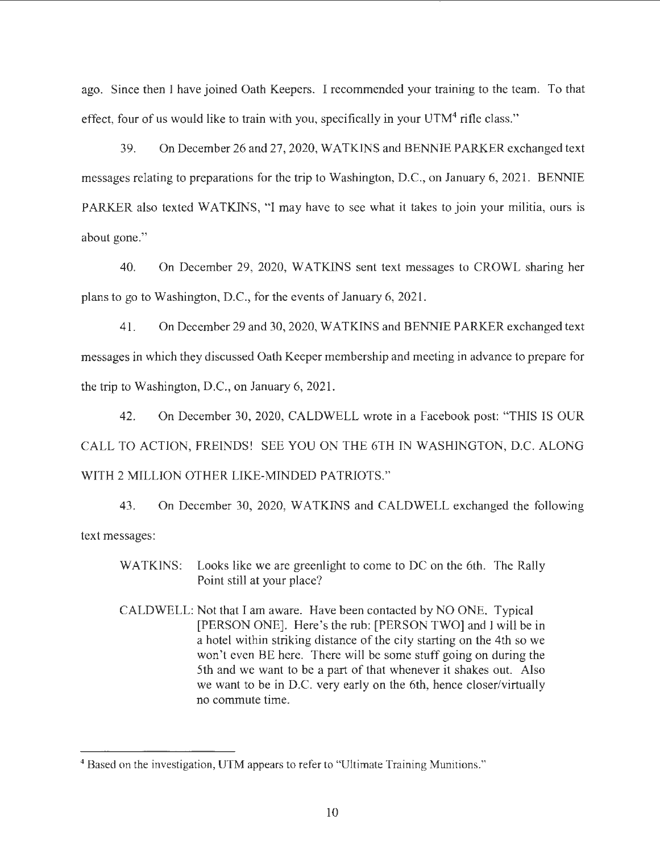ago. Since then I have joined Oath Keepers. I recommended your training to the team. To that effect, four of us would like to train with you, specifically in your  $UTM<sup>4</sup>$  rifle class."

39. On December 26 and 27, 2020, WATKINS and BENNIE PARKER exchanged text messages relating to preparations for the trip to Washington, D.C., on January 6, 2021. BENNIE PARKER also texted WATKINS, "I may have to see what it takes to join your militia, ours is about gone."

40. On December 29, 2020, WATKINS sent text messages to CROWL sharing her plans to go to Washington, D.C., for the events of January 6, 2021.

41. On December 29 and 30, 2020, WATKINS and BENNIE PARKER exchanged text messages in which they discussed Oath Keeper membership and meeting in advance to prepare for the trip to Washington, D.C., on January 6, 2021.

42. On December 30, 2020, CALDWELL wrote in a Facebook post: "THIS IS OUR CALL TO ACTION, FREINDS! SEE YOU ON THE 6TH IN WASHINGTON, D.C. ALONG WITH 2 MILLION OTHER LIKE-MINDED PATRIOTS."

43. On December 30, 2020, WATKINS and CALDWELL exchanged the following text messages:

- WATKINS: Looks like we are greenlight to come to DC on the 6th. The Rally Point still at your place?
- CALDWELL: Not that I am aware. Have been contacted by NO ONE. Typical [PERSON ONE]. Here's the rub: [PERSON TWO] and I will be in a hotel within striking distance of the city starting on the 4th so we won't even BE here. There will be some stuff going on during the 5th and we want to be a part of that whenever it shakes out. Also we want to be in D.C. very early on the 6th, hence closer/virtually no commute time.

<sup>4</sup> Based on the investigation, UTM appears to refer to "Ultimate Training Munitions."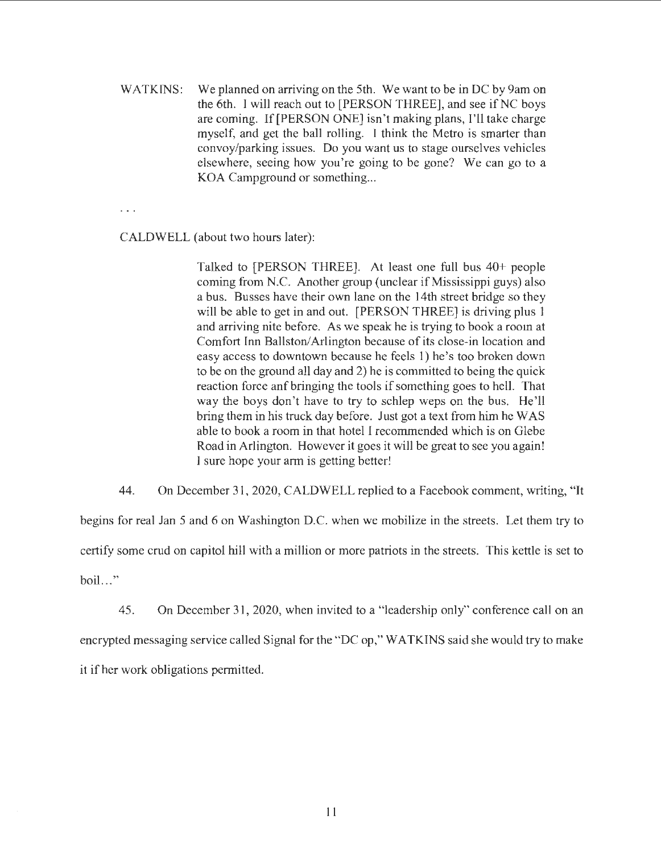WATKINS: We planned on arriving on the 5th. We want to be in DC by 9am on the 6th. I will reach out to [PERSON THREE], and see if NC boys are coming. If[PERSON ONE] isn't making plans, I'll take charge myself, and get the ball rolling. I think the Metro is smarter than convoy/parking issues. Do you want us to stage ourselves vehicles elsewhere, seeing how you're going to be gone? We can go to a KOA Campground or something...

CALDWELL (about two hours later):

Talked to [PERSON THREE]. At least one full bus 40+ people coming from N.C. Another group (unclear if Mississippi guys) also a bus. Busses have their own lane on the 14th street bridge so they will be able to get in and out. [PERSON THREE] is driving plus 1 and arriving nite before. As we speak he is trying to book a room at Comfort Inn Ballston/Arlington because of its close-in location and easy access to downtown because he feels 1) he's too broken down to be on the ground all day and 2) he is committed to being the quick reaction force anf bringing the tools if something goes to hell. That way the boys don't have to try to schlep weps on the bus. He'll bring them in his truck day before. Just got a text from him he WAS able to book a room in that hotel I recommended which is on Glebe Road in Arlington. However it goes it will be great to see you again! I sure hope your arm is getting better!

44. On December 31, 2020, CALDWELL replied to a Facebook comment, writing, "It

begins for real Jan 5 and 6 on Washington D.C. when we mobilize in the streets. Let them try to certify some crud on capitol hill with a million or more patriots in the streets. This kettle is set to boil..."

45. On December 31, 2020, when invited to a "leadership only" conference call on an encrypted messaging service called Signal for the "DC op," WATKJNS said she would try to make it if her work obligations permitted.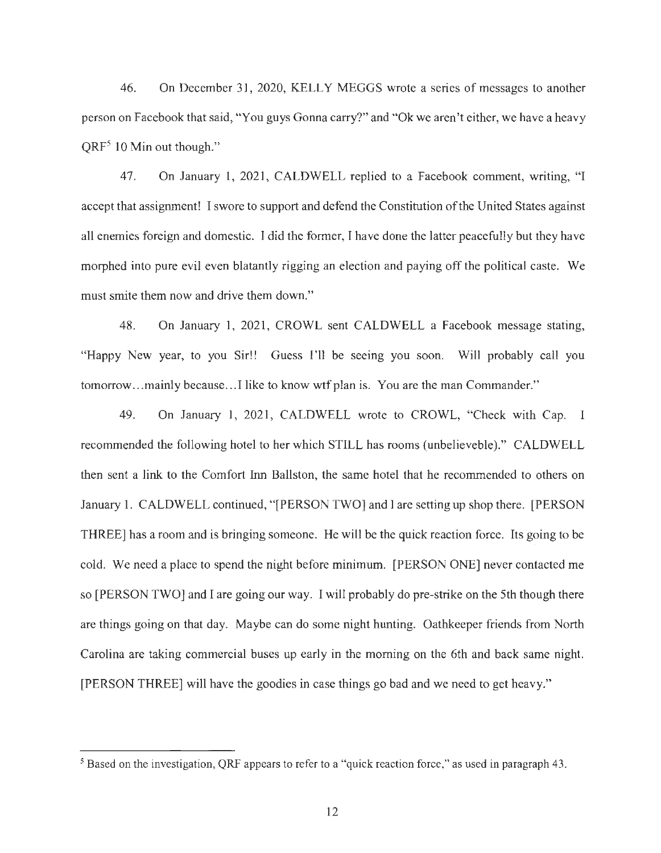46. On December 31, 2020, KELLY MEGGS wrote a series of messages to another person on Facebook that said, "You guys Gonna carry?" and "Ok we aren't either, we have a heavy  $QRF<sup>5</sup> 10$  Min out though."

47. On January 1, 2021, CALDWELL replied to a Facebook comment, writing, "I accept that assignment! I swore to support and defend the Constitution ofthe United States against all enemies foreign and domestic. I did the former, I have done the latter peacefully but they have morphed into pure evil even blatantly rigging an election and paying off the political caste. We must smite them now and drive them down."

48. On January l, 2021, CROWL sent CALDWELL a Facebook message stating, "Happy New year, to you Sir!! Guess I'll be seeing you soon. Will probably call you tomorrow... mainly because... I like to know wtf plan is. You are the man Commander."

49. On January 1, 2021, CALDWELL wrote to CROWL, "Check with Cap. I recommended the following hotel to her which STILL has rooms (unbelieveble)." CALDWELL then sent a link to the Comfort Inn Ballston, the same hotel that he recommended to others on January 1. CALDWELL continued, "[PERSON TWO] and I are setting up shop there. [PERSON THREE] has a room and is bringing someone. He will be the quick reaction force. Its going to be cold. We need a place to spend the night before minimum. [PERSON ONE] never contacted me so [PERSON TWO) and I are going our way. I will probably do pre-strike on the 5th though there are things going on that day. Maybe can do some night hunting. Oathkeeper friends from North Carolina are taking commercial buses up early in the morning on the 6th and back same night. [PERSON THREE] will have the goodies in case things go bad and we need to get heavy."

<sup>5</sup> Based on the investigation, QRF appears to refer to a "quick reaction force," as used in paragraph 43.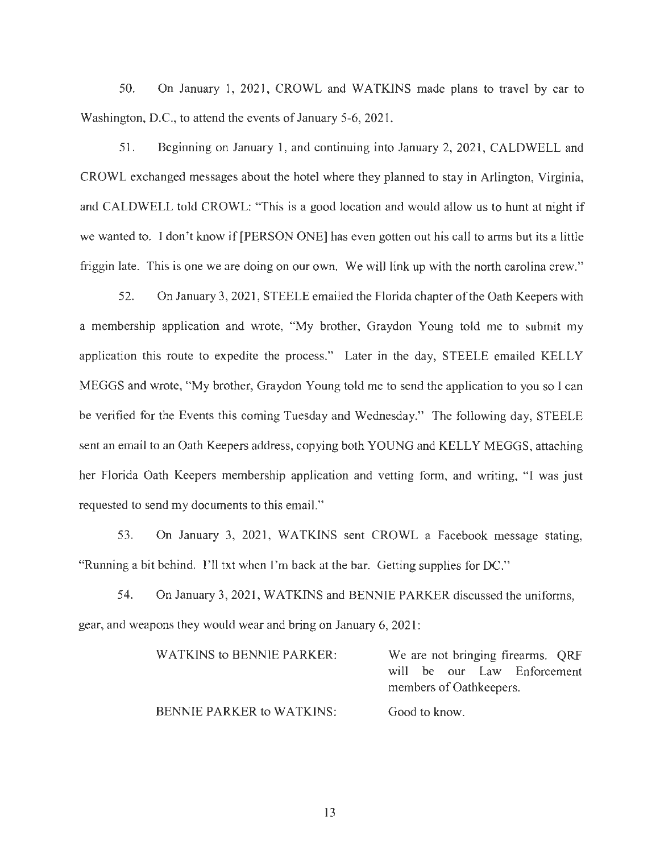50. On January 1, 2021, CROWL and WATKINS made plans to travel by car to Washington, D.C., to attend the events of January 5-6, 2021.

51. Beginning on January 1, and continuing into January 2, 2021 , CALDWELL and CROWL exchanged messages about the hotel where they planned to stay in Arlington, Virginia, and CALDWELL told CROWL: "This is a good location and would allow us to hunt at night if we wanted to. I don't know if [PERSON ONE] has even gotten out his call to arms but its a little friggin late. This is one we are doing on our own. We will link up with the north carolina crew."

52. On January 3, 2021, STEELE emailed the Florida chapter ofthe Oath Keepers with a membership application and wrote, "My brother, Graydon Young told me to submit my application this route to expedite the process." Later in the day, STEELE emailed KELLY MEGGS and wrote, "My brother, Graydon Young told me to send the application to you so I can be verified for the Events this coming Tuesday and Wednesday." The following day, STEELE sent an email to an Oath Keepers address, copying both YOUNG and KELLY MEGGS, attaching her Florida Oath Keepers membership application and vetting form, and writing, "I was just requested to send my documents to this email."

53. On January 3, 2021, WATKINS sent CROWL a Facebook message stating, "Running a bit behind. I'll txt when I'm back at the bar. Getting supplies for DC."

54. On January 3, 2021, WATKINS and BENNIE PARKER discussed the uniforms, gear, and weapons they would wear and bring on January 6, 202 1:

| WATKINS to BENNIE PARKER:        | We are not bringing firearms. QRF |
|----------------------------------|-----------------------------------|
|                                  | will be our Law Enforcement       |
|                                  | members of Oathkeepers.           |
| <b>BENNIE PARKER to WATKINS:</b> | Good to know.                     |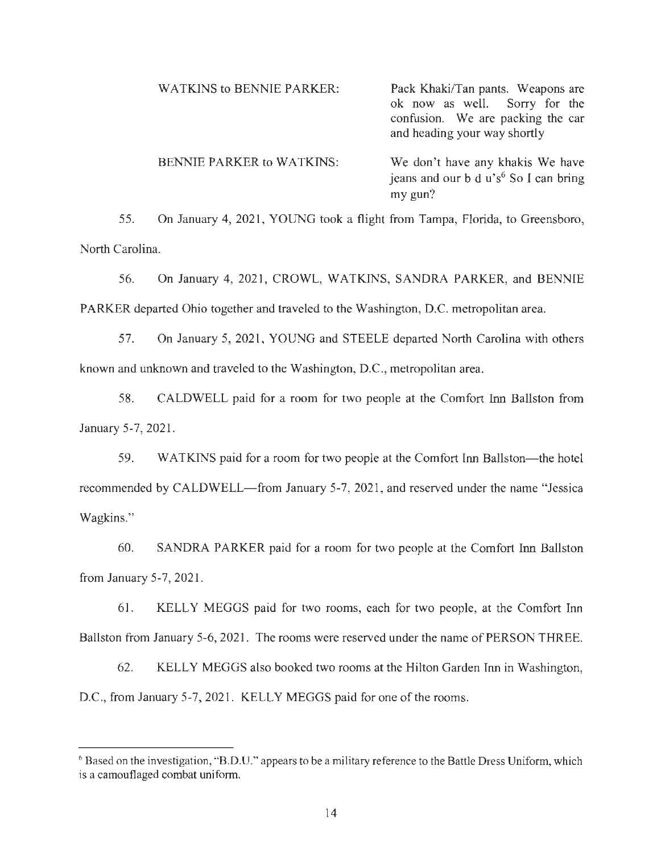| <b>WATKINS to BENNIE PARKER:</b> | Pack Khaki/Tan pants. Weapons are<br>ok now as well. Sorry for the<br>confusion. We are packing the car<br>and heading your way shortly |
|----------------------------------|-----------------------------------------------------------------------------------------------------------------------------------------|
| <b>BENNIE PARKER to WATKINS:</b> | We don't have any khakis We have<br>jeans and our b d u's <sup>6</sup> So I can bring<br>my gun?                                        |

55. On January 4, 2021, YOUNG took a flight from Tampa, Florida, to Greensboro, North Carolina.

56. On January 4, 2021, CROWL, WATKINS, SANDRA PARKER, and BENNIE PARKER departed Ohio together and traveled to the Washington, D.C. metropolitan area.

57. On January 5, 2021, YOUNG and STEELE departed North Carolina with others known and unknown and traveled to the Washington, D.C., metropolitan area.

58. CALDWELL paid for a room for two people at the Comfort Inn Ballston from January 5-7, 2021.

59. WATKINS paid for a room for two people at the Comfort Inn Ballston—the hotel recommended by CALDWELL—from January 5-7, 2021, and reserved under the name "Jessica" Wagkins."

60. SANDRA PARK.ER paid for a room for two people at the Comfort Inn Ballston from January 5-7, 2021.

61. KELLY MEGGS paid for two rooms, each for two people, at the Comfort Inn Ballston from January 5-6, 2021. The rooms were reserved under the name of PERSON THREE.

62. KELLY MEGGS also booked two rooms at the Hilton Garden Inn in Washington, D.C., from January 5-7, 2021. KELLY MEGGS paid for one of the rooms.

<sup>&</sup>lt;sup>6</sup> Based on the investigation, "B.D.U." appears to be a military reference to the Battle Dress Uniform, which is a camouflaged combat uniform.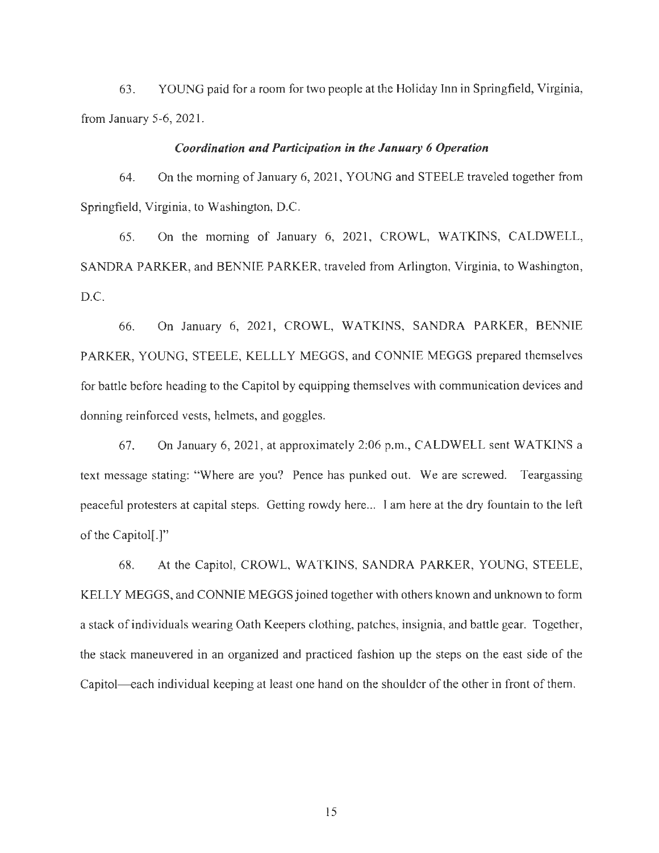63. YOUNG paid for a room for two people at the Holiday fnn in Springfield, Virginia, from January 5-6, 2021.

#### *Coordination and Participation in the January 6 Operation*

64. On the morning of January 6, 2021, YOUNG and STEELE traveled together from Springfield, Virginia, to Washington, D.C.

65. On the morning of January 6, 2021, CROWL, WATKINS, CALDWELL, SANDRA PARKER, and BENNIE PARKER, traveled from Arlington, Virginia, to Washington, D.C.

66. On January 6, 2021, CROWL, WATKINS, SANDRA PARKER, BENNIE PARKER, YOUNG, STEELE, KELLLY MEGGS, and CONNIE MEGGS prepared themselves for battle before heading to the Capitol by equipping themselves with communication devices and donning reinforced vests, helmets, and goggles.

67. On January 6, 2021 , at approximately 2:06 p.m., CALDWELL sent WATKINS a text message stating: "Where are you? Pence has punked out. We are screwed. Teargassing peaceful protesters at capital steps. Getting rowdy here... I am here at the dry fountain to the left of the Capitol[.]"

68. At the Capitol, CROWL, WATKINS, SANDRA PARKER, YOUNG, STEELE, KELLY MEGGS, and CONNIE MEGGS joined together with others known and unknown to form a stack of individuals wearing Oath Keepers clothing, patches, insignia, and battle gear. Together, the stack maneuvered in an organized and practiced fashion up the steps on the east side of the Capitol—each individual keeping at least one hand on the shoulder of the other in front of them.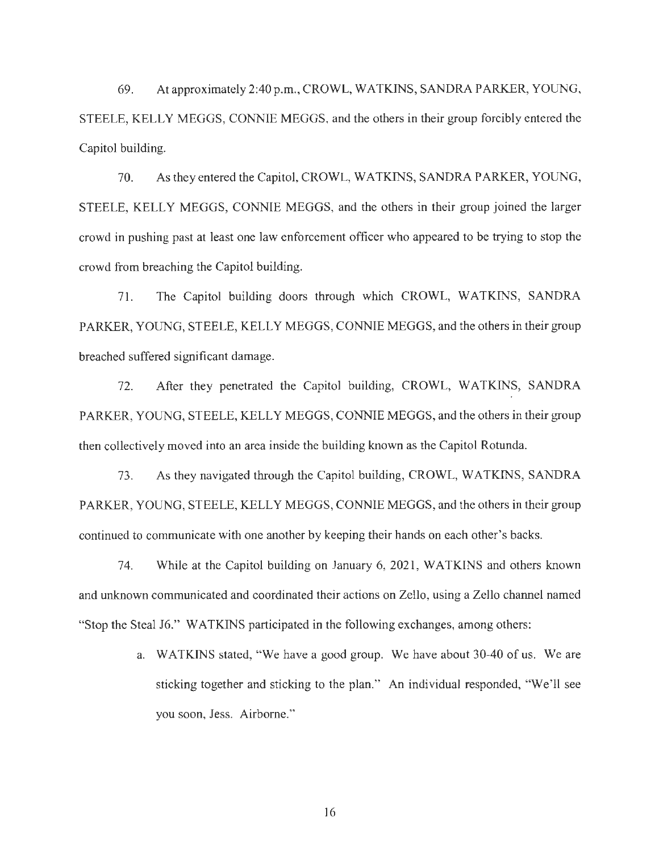69. At approximately 2:40 p.m., CROWL, WATKINS, SANDRA PARKER, YOUNG, STEELE, KELLY MEGGS, CONNIE MEGGS, and the others in their group forcibly entered the Capitol building.

70. As they entered the Capitol, CROWL, WATKINS, SANDRA PARKER, YOUNG, STEELE, KELLY MEGGS, CONNIE MEGGS, and the others in their group joined the larger crowd in pushing past at least one law enforcement officer who appeared to be trying to stop the crowd from breaching the Capitol building.

71. The Capitol building doors through which CROWL, WATKINS, SANDRA PARKER, YOUNG, STEELE, KELLY MEGGS, CONNIE MEGGS, and the others in their group breached suffered significant damage.

72. After they penetrated the Capitol building, CROWL, WATKINS, SANDRA PARKER, YOUNG, STEELE, KELLY MEGGS, CONNIE MEGGS, and the others in their group then collectively moved into an area inside the building known as the Capitol Rotunda.

73. As they navigated through the Capitol building, CROWL, WATKINS, SANDRA PARKER, YOUNG, STEELE, KELLY MEGGS, CONNIE MEGGS, and the others in their group continued to communicate with one another by keeping their hands on each other's backs.

74. While at the Capitol building on January 6, 2021, WATKINS and others known and unknown communicated and coordinated their actions on Zello, using a Zello channel named "Stop the Steal 16." WATKINS participated in the following exchanges, among others:

> a. WATKINS stated, "We have a good group. We have about 30-40 of us. We are sticking together and sticking to the plan." An individual responded, "We'll see you soon, Jess. Airborne."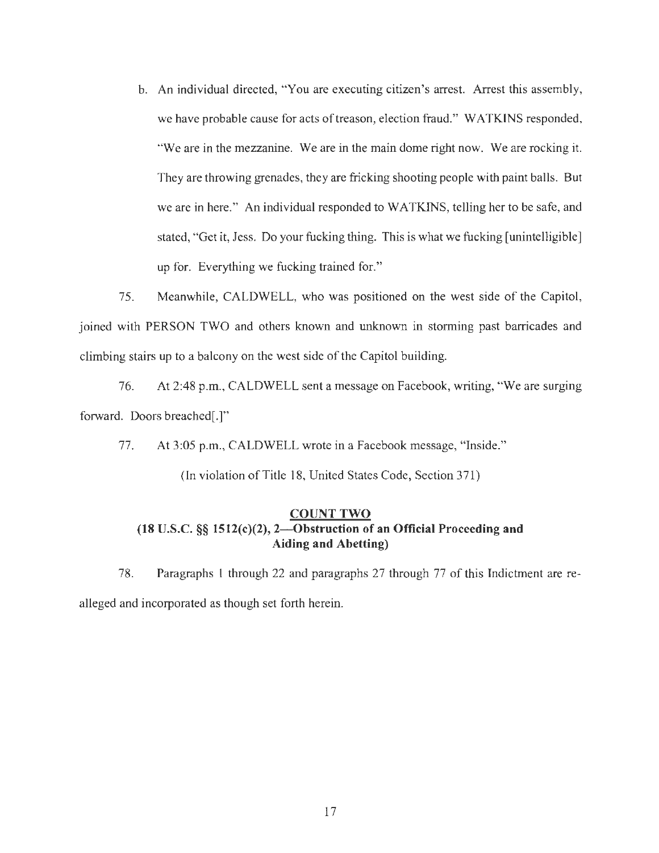b. An individual directed, "You are executing citizen's arrest. Arrest this assembly, we have probable cause for acts of treason, election fraud." WATKINS responded, "We are in the mezzanine. We are in the main dome right now. We are rocking it. They are throwing grenades, they are fricking shooting people with paint balls. But we are in here." An individual responded to WATKINS, telling her to be safe, and stated, "Get it, Jess. Do your fucking thing. This is what we fucking [unintelligible] up for. Everything we fucking trained for."

75. Meanwhile, CALDWELL, who was positioned on the west side of the Capitol, joined with PERSON TWO and others known and unknown in storming past barricades and climbing stairs up to a balcony on the west side of the Capitol building.

76. At 2:48 p.m., CALDWELL sent a message on Facebook, writing, "We are surging forward. Doors breached[.]"

77. At 3:05 p.m., CALDWELL wrote in a Facebook message, "Inside."

(In violation of Title 18, United States Code, Section 371)

## **COUNT TWO (18 U.S.C. §§ 1512(c)(2), 2- 0bstruction of an Official Proceeding and Aiding and Abetting)**

78. Paragraphs I through 22 and paragraphs 27 through 77 of this Indictment are realleged and incorporated as though set forth herein.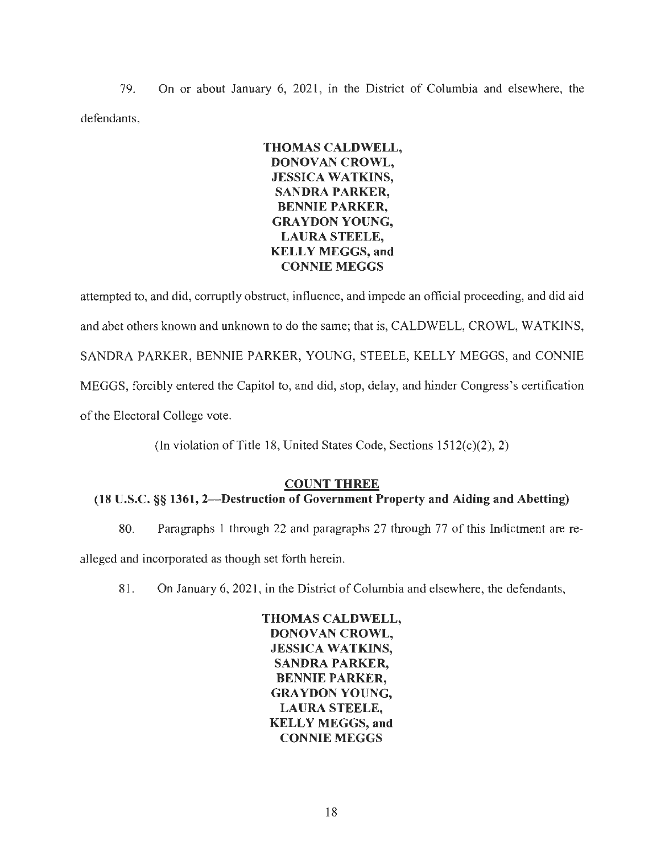79. On or about January 6, 2021 , in the District of Columbia and elsewhere, the defendants,

# **THOMAS CALDWELL, DONOVAN CROWL, JESSICA WATKINS, SANDRA PARKER, BENNIE PARKER, GRAYDON YOUNG, LAURA STEELE, KELLY MEGGS, and CONNIE MEGGS**

attempted to, and did, corruptly obstruct, influence, and impede an official proceeding, and did aid and abet others known and unknown to do the same; that is, CALDWELL, CROWL, WATKINS, SANDRA PARKER, BENNIE PARKER, YOUNG, STEELE, KELLY MEGGS, and CONNIE MEGGS, forcibly entered the Capitol to, and did, stop, delay, and hinder Congress's certification of the Electoral College vote.

(In violation of Title 18, United States Code, Sections  $1512(c)(2)$ , 2)

# **COUNT THREE**

# **(18 U.S.C.** §§ **1361, 2- Destruction of Government Property and Aiding and Abetting)**

80. Paragraphs I through 22 and paragraphs 27 through 77 of this Indictment are re-

alleged and incorporated as though set forth herein.

81. On January 6, 2021, in the District of Columbia and elsewhere, the defendants,

**THOMAS CALDWELL, DO NOV AN CROWL, JESSICA WATKINS, SANDRA PARKER, BENNIE PARKER, GRAYDON YOUNG, LAURA STEELE, KELLY MEGGS, and CONNIE MEGGS**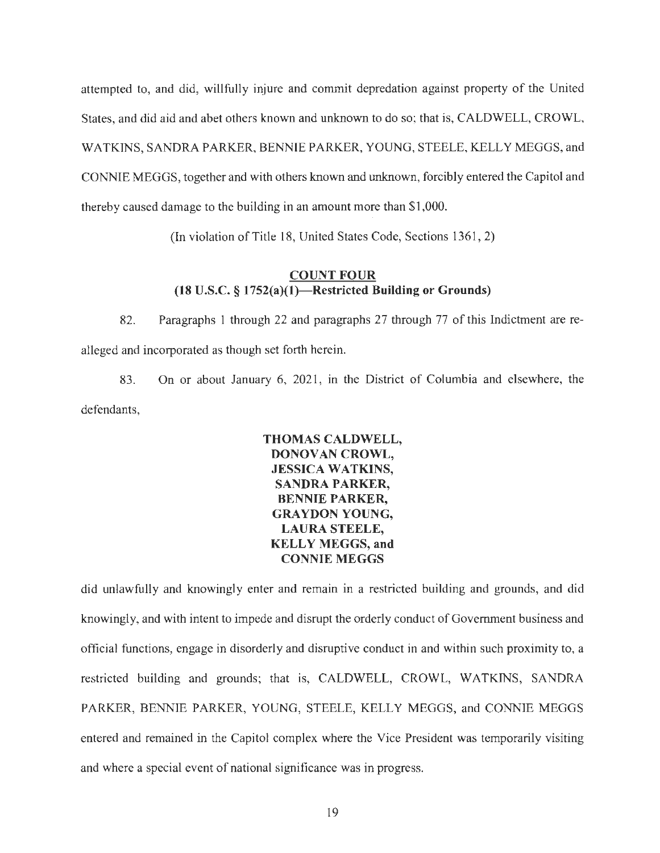attempted to, and did, willfully injure and commit depredation against property of the United States, and did aid and abet others known and unknown to do so; that is, CALDWELL, CROWL, WATKINS, SANDRA PARKER, BENNIE PARKER, YOUNG, STEELE, KELLY MEGGS, and CONNIE MEGGS, together and with others known and unknown, forcibly entered the Capitol and thereby caused damage to the building in an amount more than \$1,000.

(In violation of Title 18, United States Code, Sections 1361, 2)

## **COUNT FOUR (18 U.S.C. § 1752(a)(l )-Restricted Building or Grounds)**

82. Paragraphs 1 through 22 and paragraphs 27 through 77 of this Indictment are realleged and incorporated as though set forth herein.

83. On or about January 6, 2021 , in the District of Columbia and elsewhere, the defendants,

> **THOMAS CALDWELL, DONOVAN CROWL, JESSICA WATKINS, SANDRA PARKER, BENNIE PARKER, GRAYOON YOUNG, LAURA STEELE, KELLY MEGGS, and CONNIE MEGGS**

did unlawfully and knowingly enter and remain in a restricted building and grounds, and did knowingly, and with intent to impede and disrupt the orderly conduct of Government business and official functions, engage in disorderly and disruptive conduct in and within such proximity to, a restricted building and grounds; that is, CALDWELL, CROWL, WATKINS, SANDRA PARKER, BENNIE PARKER, YOUNG, STEELE, KELLY MEGGS, and CONNIE MEGGS entered and remained in the Capitol complex where the Vice President was temporarily visiting and where a special event of national significance was in progress.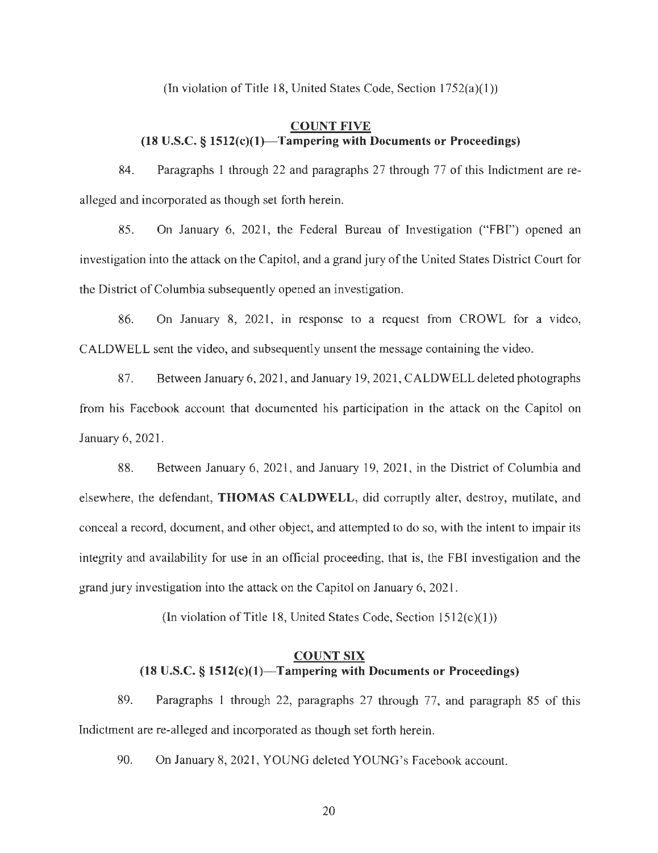(In violation of Title 18, United States Code, Section  $1752(a)(1)$ )

## **COUNT FIVE (18 U.S.C. § 1512(c)(l)- Tampering with Documents or Proceedings)**

84. Paragraphs **1** through 22 and paragraphs 27 through 77 of this Indictment are realleged and incorporated as though set forth herein.

85. On January 6, 2021, the Federal Bureau of Investigation ("FBI") opened an investigation into the attack on the Capitol, and a grand jury of the United States District Court for the District of Columbia subsequently opened an investigation.

86. On January 8, 2021, in response to a request from CROWL for a video, CALDWELL sent the video, and subsequently unsent the message containing the video.

87. Between January 6, 2021, and January 19, 2021, CALDWELL deleted photographs from his Facebook account that documented his participation in the attack on the Capitol on January 6, 2021.

88. Between January 6, 2021, and January 19, 2021, in the District of Columbia and elsewhere, the defendant, **THOMAS CALDWELL,** did corruptly alter, destroy, mutilate, and conceal a record, document, and other object, and attempted to do so, with the intent to impair its integrity and availability for use in an official proceeding, that is, the FBI investigation and the grand jury investigation into the attack on the Capitol on January 6, 202 1.

(In violation of Title 18, United States Code, Section  $1512(c)(1)$ )

## **COUNT SIX (18 U.S.C. § 1512(c)(l)-Tampering with Documents or Proceedings)**

89. Paragraphs **1** through 22, paragraphs 27 through 77, and paragraph 85 of this Indictment are re-alleged and incorporated as though set forth herein.

90. On January 8, 2021, YOUNG deleted YOUNG's Facebook account.